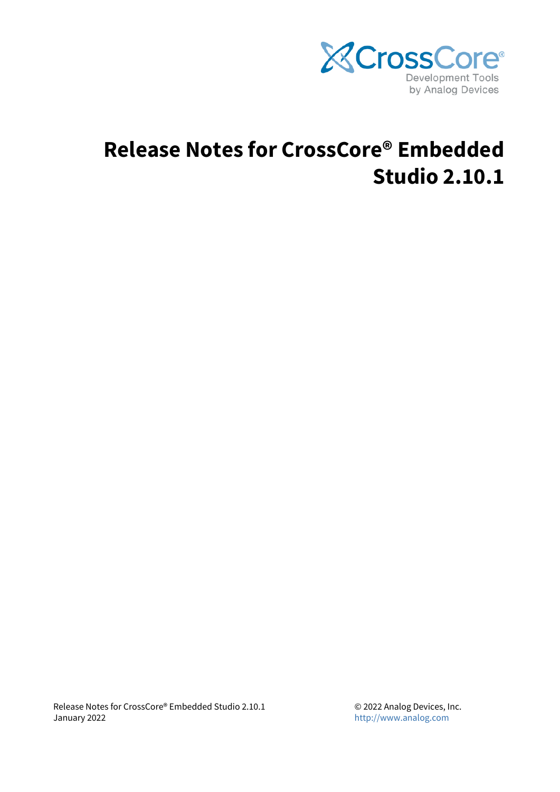

# **Release Notes for CrossCore® Embedded Studio 2.10.1**

Release Notes for CrossCore® Embedded Studio 2.10.1 January 2022

© 2022 Analog Devices, Inc. <http://www.analog.com>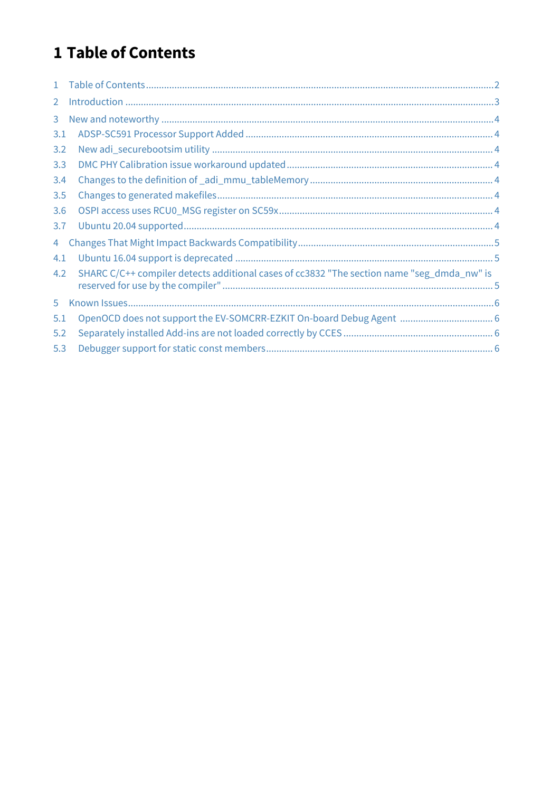## <span id="page-1-0"></span>1 Table of Contents

| $\mathbf{1}$   |                                                                                            |  |
|----------------|--------------------------------------------------------------------------------------------|--|
| $\overline{2}$ |                                                                                            |  |
| 3              |                                                                                            |  |
| 3.1            |                                                                                            |  |
| 3.2            |                                                                                            |  |
| 3.3            |                                                                                            |  |
| 3.4            |                                                                                            |  |
| 3.5            |                                                                                            |  |
| 3.6            |                                                                                            |  |
| 3.7            |                                                                                            |  |
| 4              |                                                                                            |  |
| 4.1            |                                                                                            |  |
| 4.2            | SHARC C/C++ compiler detects additional cases of cc3832 "The section name "seg_dmda_nw" is |  |
| 5              |                                                                                            |  |
| 5.1            | OpenOCD does not support the EV-SOMCRR-EZKIT On-board Debug Agent  6                       |  |
| 5.2            |                                                                                            |  |
| 5.3            |                                                                                            |  |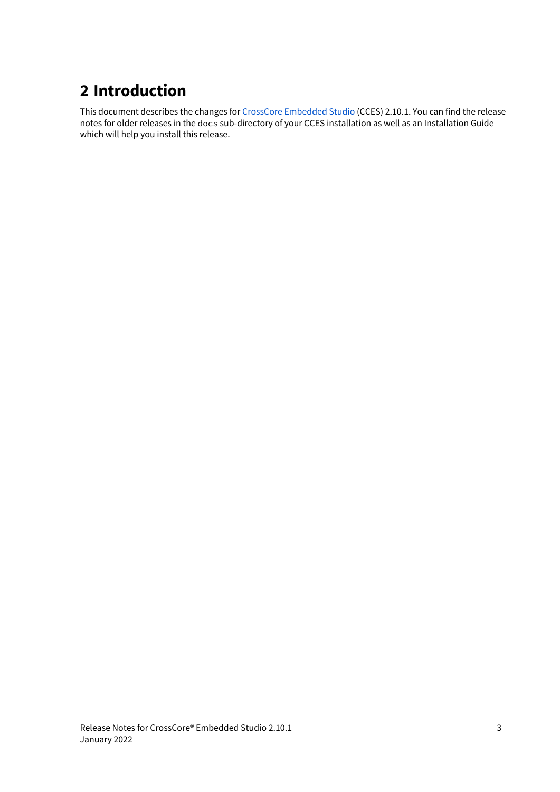## <span id="page-2-0"></span>**2 Introduction**

This document describes the changes for [CrossCore Embedded Studio](https://www.analog.com/cces) (CCES) 2.10.1. You can find the release notes for older releases in the docs sub-directory of your CCES installation as well as an Installation Guide which will help you install this release.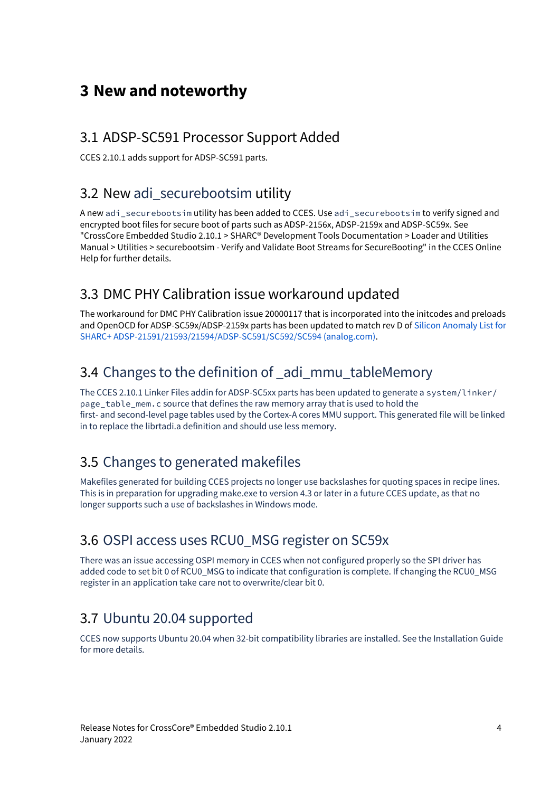## <span id="page-3-0"></span>**3 New and noteworthy**

#### <span id="page-3-1"></span>3.1 ADSP-SC591 Processor Support Added

CCES 2.10.1 adds support for ADSP-SC591 parts.

#### <span id="page-3-2"></span>3.2 New adi\_securebootsim utility

A new adi securebootsim utility has been added to CCES. Use adi securebootsim to verify signed and encrypted boot files for secure boot of parts such as ADSP-2156x, ADSP-2159x and ADSP-SC59x. See "CrossCore Embedded Studio 2.10.1 > SHARC® Development Tools Documentation > Loader and Utilities Manual > Utilities > securebootsim - Verify and Validate Boot Streams for SecureBooting" in the CCES Online Help for further details.

#### <span id="page-3-3"></span>3.3 DMC PHY Calibration issue workaround updated

The workaround for DMC PHY Calibration issue 20000117 that is incorporated into the initcodes and preloads and OpenOCD for ADSP-SC59x/ADSP-2159x parts has been updated to match rev D of [Silicon Anomaly List for](https://www.analog.com/media/en/dsp-documentation/integrated-circuit-anomalies/nr004832d.pdf) [SHARC+ ADSP-21591/21593/21594/ADSP-SC591/SC592/SC594 \(analog.com\)](https://www.analog.com/media/en/dsp-documentation/integrated-circuit-anomalies/nr004832d.pdf).

#### <span id="page-3-4"></span>3.4 Changes to the definition of adi\_mmu\_tableMemory

The CCES 2.10.1 Linker Files addin for ADSP-SC5xx parts has been updated to generate a system/linker/ page\_table\_mem.c source that defines the raw memory array that is used to hold the first- and second-level page tables used by the Cortex-A cores MMU support. This generated file will be linked in to replace the librtadi.a definition and should use less memory.

#### <span id="page-3-5"></span>3.5 Changes to generated makefiles

Makefiles generated for building CCES projects no longer use backslashes for quoting spaces in recipe lines. This is in preparation for upgrading make.exe to version 4.3 or later in a future CCES update, as that no longer supports such a use of backslashes in Windows mode.

#### <span id="page-3-6"></span>3.6 OSPI access uses RCU0\_MSG register on SC59x

There was an issue accessing OSPI memory in CCES when not configured properly so the SPI driver has added code to set bit 0 of RCU0 MSG to indicate that configuration is complete. If changing the RCU0 MSG register in an application take care not to overwrite/clear bit 0.

#### <span id="page-3-7"></span>3.7 Ubuntu 20.04 supported

CCES now supports Ubuntu 20.04 when 32-bit compatibility libraries are installed. See the Installation Guide for more details.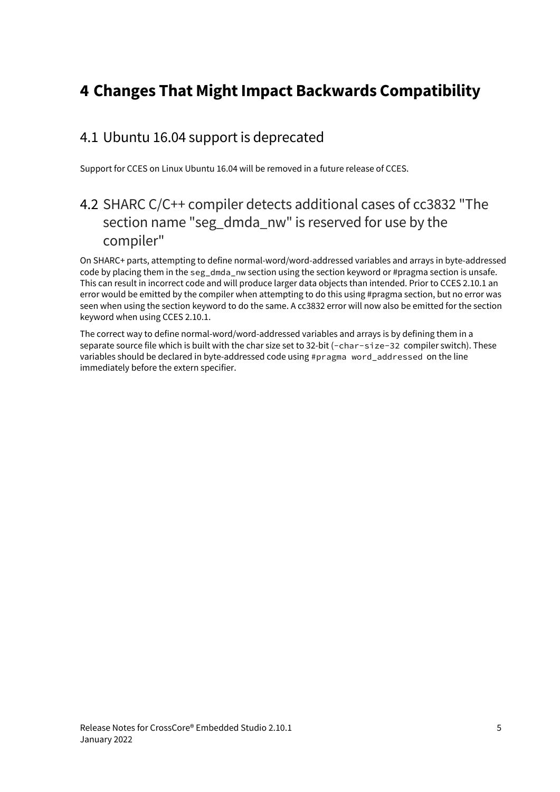## <span id="page-4-0"></span>**4 Changes That Might Impact Backwards Compatibility**

#### <span id="page-4-1"></span>4.1 Ubuntu 16.04 support is deprecated

Support for CCES on Linux Ubuntu 16.04 will be removed in a future release of CCES.

#### <span id="page-4-2"></span>4.2 SHARC C/C++ compiler detects additional cases of cc3832 "The section name "seg\_dmda\_nw" is reserved for use by the compiler"

On SHARC+ parts, attempting to define normal-word/word-addressed variables and arrays in byte-addressed code by placing them in the seg\_dmda\_nw section using the section keyword or #pragma section is unsafe. This can result in incorrect code and will produce larger data objects than intended. Prior to CCES 2.10.1 an error would be emitted by the compiler when attempting to do this using #pragma section, but no error was seen when using the section keyword to do the same. A cc3832 error will now also be emitted for the section keyword when using CCES 2.10.1.

The correct way to define normal-word/word-addressed variables and arrays is by defining them in a separate source file which is built with the char size set to 32-bit (-char-size-32 compiler switch). These variables should be declared in byte-addressed code using #pragma word\_addressed on the line immediately before the extern specifier.